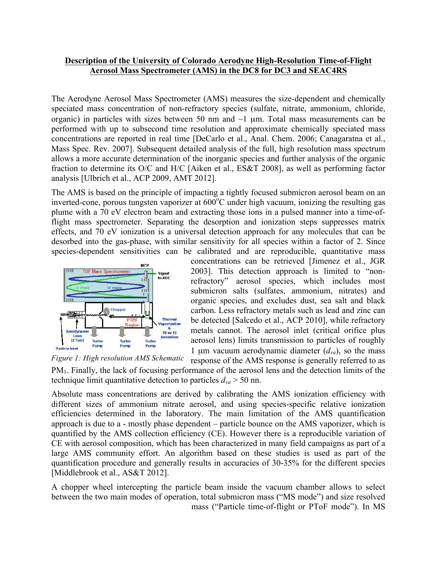## **Description of the University of Colorado Aerodyne High-Resolution Time-of-Flight Aerosol Mass Spectrometer (AMS) in the DC8 for DC3 and SEAC4RS**

The Aerodyne Aerosol Mass Spectrometer (AMS) measures the size-dependent and chemically speciated mass concentration of non-refractory species (sulfate, nitrate, ammonium, chloride, organic) in particles with sizes between 50 nm and  $\sim$ 1 µm. Total mass measurements can be performed with up to subsecond time resolution and approximate chemically speciated mass concentrations are reported in real time [DeCarlo et al., Anal. Chem. 2006; Canagaratna et al., Mass Spec. Rev. 2007]. Subsequent detailed analysis of the full, high resolution mass spectrum allows a more accurate determination of the inorganic species and further analysis of the organic fraction to determine its O/C and H/C [Aiken et al., ES&T 2008], as well as performing factor analysis [Ulbrich et al., ACP 2009, AMT 2012].

The AMS is based on the principle of impacting a tightly focused submicron aerosol beam on an inverted-cone, porous tungsten vaporizer at  $600^{\circ}$ C under high vacuum, ionizing the resulting gas plume with a 70 eV electron beam and extracting those ions in a pulsed manner into a time-offlight mass spectrometer. Separating the desorption and ionization steps suppresses matrix effects, and 70 eV ionization is a universal detection approach for any molecules that can be desorbed into the gas-phase, with similar sensitivity for all species within a factor of 2. Since species-dependent sensitivities can be calibrated and are reproducible, quantitative mass



concentrations can be retrieved [Jimenez et al., JGR 2003]. This detection approach is limited to "nonrefractory" aerosol species, which includes most submicron salts (sulfates, ammonium, nitrates) and organic species, and excludes dust, sea salt and black carbon. Less refractory metals such as lead and zinc can be detected [Salcedo et al., ACP 2010], while refractory metals cannot. The aerosol inlet (critical orifice plus aerosol lens) limits transmission to particles of roughly 1 µm vacuum aerodynamic diameter  $(d_{va})$ , so the mass



response of the AMS response is generally referred to as PM1. Finally, the lack of focusing performance of the aerosol lens and the detection limits of the technique limit quantitative detection to particles  $d_{va}$  > 50 nn.

Absolute mass concentrations are derived by calibrating the AMS ionization efficiency with different sizes of ammonium nitrate aerosol, and using species-specific relative ionization efficiencies determined in the laboratory. The main limitation of the AMS quantification approach is due to a - mostly phase dependent – particle bounce on the AMS vaporizer, which is quantified by the AMS collection efficiency (CE). However there is a reproducible variation of CE with aerosol composition, which has been characterized in many field campaigns as part of a large AMS community effort. An algorithm based on these studies is used as part of the quantification procedure and generally results in accuracies of 30-35% for the different species [Middlebrook et al., AS&T 2012].

A chopper wheel intercepting the particle beam inside the vacuum chamber allows to select between the two main modes of operation, total submicron mass ("MS mode") and size resolved mass ("Particle time-of-flight or PToF mode"). In MS